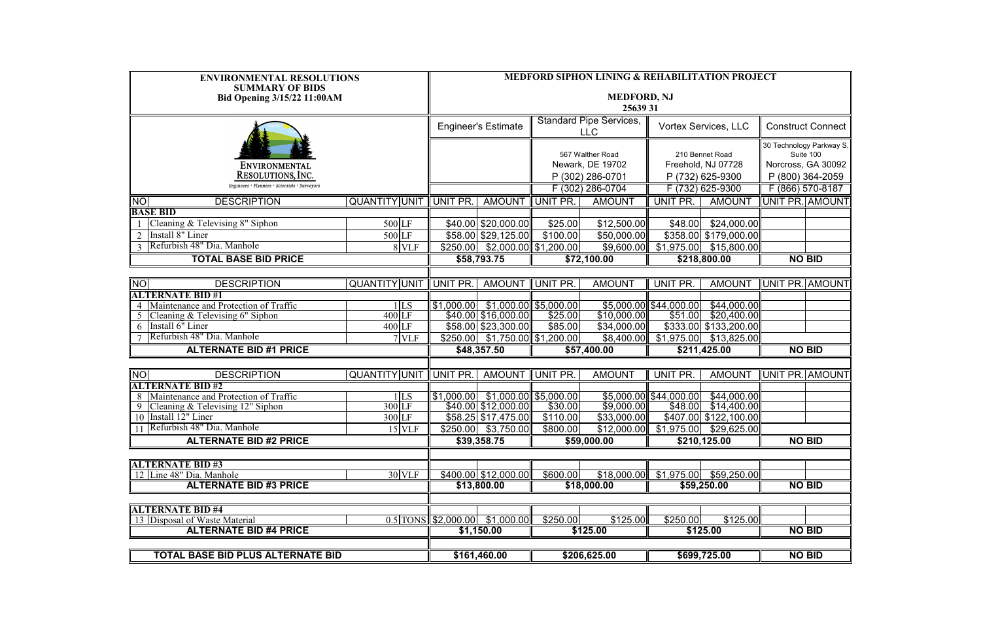| <b>ENVIRONMENTAL RESOLUTIONS</b><br><b>SUMMARY OF BIDS</b>       |                             | <b>MEDFORD SIPHON LINING &amp; REHABILITATION PROJECT</b> |                                     |                                              |                                                          |                             |                                                           |                          |                                                                                 |  |  |
|------------------------------------------------------------------|-----------------------------|-----------------------------------------------------------|-------------------------------------|----------------------------------------------|----------------------------------------------------------|-----------------------------|-----------------------------------------------------------|--------------------------|---------------------------------------------------------------------------------|--|--|
| <b>Bid Opening 3/15/22 11:00AM</b>                               |                             |                                                           | <b>MEDFORD, NJ</b><br>25639 31      |                                              |                                                          |                             |                                                           |                          |                                                                                 |  |  |
|                                                                  |                             | <b>Engineer's Estimate</b>                                |                                     | <b>Standard Pipe Services,</b><br><b>LLC</b> |                                                          | <b>Vortex Services, LLC</b> |                                                           | <b>Construct Connect</b> |                                                                                 |  |  |
| ENVIRONMENTAL<br>RESOLUTIONS, INC.                               |                             |                                                           |                                     |                                              | 567 Walther Road<br>Newark, DE 19702<br>P (302) 286-0701 |                             | 210 Bennet Road<br>Freehold, NJ 07728<br>P (732) 625-9300 |                          | 30 Technology Parkway S,<br>Suite 100<br>Norcross, GA 30092<br>P (800) 364-2059 |  |  |
| Engineers • Planners • Scientists • Surveyors                    |                             |                                                           |                                     |                                              | F (302) 286-0704                                         |                             | F (732) 625-9300                                          |                          | F (866) 570-8187                                                                |  |  |
| <b>NO</b><br><b>DESCRIPTION</b>                                  | QUANTITY UNIT               | UNIT PR.                                                  | AMOUNT UNIT PR.                     |                                              | <b>AMOUNT</b>                                            | UNIT PR.<br><b>AMOUNT</b>   |                                                           | UNIT PR. AMOUNT          |                                                                                 |  |  |
| <b>BASE BID</b>                                                  |                             |                                                           |                                     |                                              |                                                          |                             |                                                           |                          |                                                                                 |  |  |
| Cleaning & Televising 8" Siphon                                  | 500 LF                      |                                                           | $\sqrt{40.00}$ \$20,000.00          | \$25.00                                      | \$12,500.00                                              | \$48.00                     | \$24,000.00                                               |                          |                                                                                 |  |  |
| Install 8" Liner                                                 | 500 LF                      |                                                           | \$58.00 \$29,125.00                 | \$100.00                                     | \$50,000.00                                              |                             | \$358.00 \$179,000.00                                     |                          |                                                                                 |  |  |
| Refurbish 48" Dia. Manhole                                       | 8 VLF                       |                                                           | $$250.00$ $$2,000.00$ $$1,200.00$   |                                              | \$9,600.00                                               |                             | $$1,975.00$ $$15,800.00$                                  |                          |                                                                                 |  |  |
|                                                                  | <b>TOTAL BASE BID PRICE</b> |                                                           | \$58,793.75                         |                                              | \$72,100.00                                              |                             | \$218,800.00                                              |                          | <b>NO BID</b>                                                                   |  |  |
|                                                                  |                             |                                                           |                                     |                                              |                                                          |                             |                                                           |                          |                                                                                 |  |  |
| <b>NO</b><br><b>DESCRIPTION</b>                                  | QUANTITY UNIT UNIT PR.      |                                                           | AMOUNT UNIT PR.                     |                                              | <b>AMOUNT</b>                                            | UNIT PR.                    | <b>AMOUNT</b>                                             | UNIT PR. AMOUNT          |                                                                                 |  |  |
| <b>ALTERNATE BID #1</b><br>Maintenance and Protection of Traffic | 1 LS                        |                                                           | $$1,000.00$ $$1,000.00$ $$5,000.00$ |                                              |                                                          | $$5,000.00$ \$44,000.00     | \$44,000.00                                               |                          |                                                                                 |  |  |
| Cleaning & Televising 6" Siphon                                  | $400$ LF                    |                                                           | \$40.00 \$16,000.00                 | \$25.00                                      | \$10,000.00                                              | \$51.00                     | \$20,400.00                                               |                          |                                                                                 |  |  |
| Install 6" Liner                                                 | $400$ LF                    |                                                           | \$58.00 \$23,300.00                 | \$85.00                                      | \$34,000.00                                              |                             | \$333.00 \$133,200.00                                     |                          |                                                                                 |  |  |
| Refurbish 48" Dia. Manhole                                       | $7$ VLF                     |                                                           | $$250.00$ $$1,750.00$ $$1,200.00$   |                                              |                                                          |                             | $$8,400.00$ $$1,975.00$ $$13,825.00$                      |                          |                                                                                 |  |  |
| <b>ALTERNATE BID #1 PRICE</b>                                    |                             | \$48,357.50                                               |                                     | \$57,400.00                                  |                                                          | \$211,425.00                |                                                           | <b>NO BID</b>            |                                                                                 |  |  |
|                                                                  |                             |                                                           |                                     |                                              |                                                          |                             |                                                           |                          |                                                                                 |  |  |
| <b>DESCRIPTION</b><br><b>NO</b>                                  | <b>QUANTITY UNIT</b>        | UNIT PR.                                                  | <b>AMOUNT</b>                       | UNIT PR.                                     | <b>AMOUNT</b>                                            | UNIT PR.                    | <b>AMOUNT</b>                                             | UNIT PR. AMOUNT          |                                                                                 |  |  |
| <b>ALTERNATE BID#2</b>                                           |                             |                                                           |                                     |                                              |                                                          |                             |                                                           |                          |                                                                                 |  |  |
| Maintenance and Protection of Traffic<br>8                       | 1 LS                        |                                                           | $$1,000.00$ $$1,000.00$ $$5,000.00$ |                                              |                                                          |                             | $$5,000.00$ \$44,000.00 \$44,000.00                       |                          |                                                                                 |  |  |
| Cleaning $&$ Televising 12" Siphon                               | 300 LF                      |                                                           | \$40.00 \$12,000.00                 | \$30.00                                      | \$9,000.00                                               | \$48.00                     | \$14,400.00                                               |                          |                                                                                 |  |  |
| 10 Install 12" Liner<br>11 Refurbish 48" Dia. Manhole            | 300 LF                      |                                                           | \$58.25 \$17,475.00                 | \$110.00                                     | \$33,000.00                                              |                             | \$407.00 \$122,100.00                                     |                          |                                                                                 |  |  |
|                                                                  | 15 VLF                      |                                                           | $$250.00$ $$3,750.00$               | \$800.00                                     |                                                          |                             | $$12,000.00$ $$1,975.00$ $$29,625.00$                     |                          |                                                                                 |  |  |
| <b>ALTERNATE BID #2 PRICE</b>                                    |                             | \$39,358.75                                               |                                     | \$59,000.00                                  |                                                          | \$210,125.00                |                                                           | <b>NO BID</b>            |                                                                                 |  |  |
|                                                                  |                             |                                                           |                                     |                                              |                                                          |                             |                                                           |                          |                                                                                 |  |  |
| <b>ALTERNATE BID#3</b><br>12 Line 48" Dia. Manhole               | 30 VLF                      |                                                           | \$400.00 \$12,000.00                | \$600.00                                     | \$18,000.00                                              |                             | $$1,975.00$ $$59,250.00$                                  |                          |                                                                                 |  |  |
| <b>ALTERNATE BID #3 PRICE</b>                                    |                             |                                                           | \$13,800.00                         |                                              | \$18,000.00                                              |                             | \$59,250.00                                               |                          | <b>NO BID</b>                                                                   |  |  |
|                                                                  |                             |                                                           |                                     |                                              |                                                          |                             |                                                           |                          |                                                                                 |  |  |
| <b>ALTERNATE BID #4</b>                                          |                             |                                                           |                                     |                                              |                                                          |                             |                                                           |                          |                                                                                 |  |  |
| 13 Disposal of Waste Material                                    |                             |                                                           | $0.5$ TONS \$2,000.00 \$1,000.00    | \$250.00                                     | \$125.00                                                 | \$250.00                    | \$125.00                                                  |                          |                                                                                 |  |  |
| <b>ALTERNATE BID #4 PRICE</b>                                    |                             |                                                           | \$1,150.00                          |                                              | \$125.00                                                 |                             | \$125.00                                                  |                          | <b>NO BID</b>                                                                   |  |  |
|                                                                  |                             |                                                           |                                     |                                              |                                                          |                             |                                                           |                          |                                                                                 |  |  |
| <b>TOTAL BASE BID PLUS ALTERNATE BID</b>                         |                             | \$161,460.00                                              |                                     | \$206,625.00                                 |                                                          | \$699,725.00                |                                                           | <b>NO BID</b>            |                                                                                 |  |  |